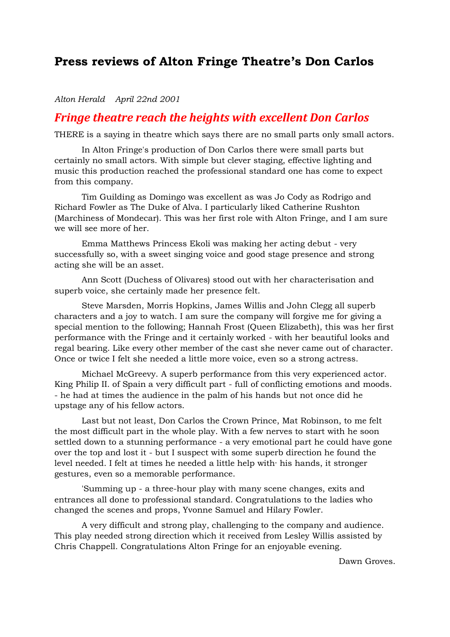## **Press reviews of Alton Fringe Theatre's Don Carlos**

## *Alton Herald April 22nd 2001*

## *Fringe theatre reach the heights with excellent Don Carlos*

THERE is a saying in theatre which says there are no small parts only small actors.

In Alton Fringe's production of Don Carlos there were small parts but certainly no small actors. With simple but clever staging, effective lighting and music this production reached the professional standard one has come to expect from this company.

Tim Guilding as Domingo was excellent as was Jo Cody as Rodrigo and Richard Fowler as The Duke of Alva. I particularly liked Catherine Rushton (Marchiness of Mondecar). This was her first role with Alton Fringe, and I am sure we will see more of her.

Emma Matthews Princess Ekoli was making her acting debut - very successfully so, with a sweet singing voice and good stage presence and strong acting she will be an asset.

Ann Scott (Duchess of Olivares) stood out with her characterisation and superb voice, she certainly made her presence felt.

Steve Marsden, Morris Hopkins, James Willis and John Clegg all superb characters and a joy to watch. I am sure the company will forgive me for giving a special mention to the following; Hannah Frost (Queen Elizabeth), this was her first performance with the Fringe and it certainly worked - with her beautiful looks and regal bearing. Like every other member of the cast she never came out of character. Once or twice I felt she needed a little more voice, even so a strong actress.

Michael McGreevy. A superb performance from this very experienced actor. King Philip II. of Spain a very difficult part - full of conflicting emotions and moods. - he had at times the audience in the palm of his hands but not once did he upstage any of his fellow actors.

Last but not least, Don Carlos the Crown Prince, Mat Robinson, to me felt the most difficult part in the whole play. With a few nerves to start with he soon settled down to a stunning performance - a very emotional part he could have gone over the top and lost it - but I suspect with some superb direction he found the level needed. I felt at times he needed a little help with· his hands, it stronger gestures, even so a memorable performance.

'Summing up - a three-hour play with many scene changes, exits and entrances all done to professional standard. Congratulations to the ladies who changed the scenes and props, Yvonne Samuel and Hilary Fowler.

A very difficult and strong play, challenging to the company and audience. This play needed strong direction which it received from Lesley Willis assisted by Chris Chappell. Congratulations Alton Fringe for an enjoyable evening.